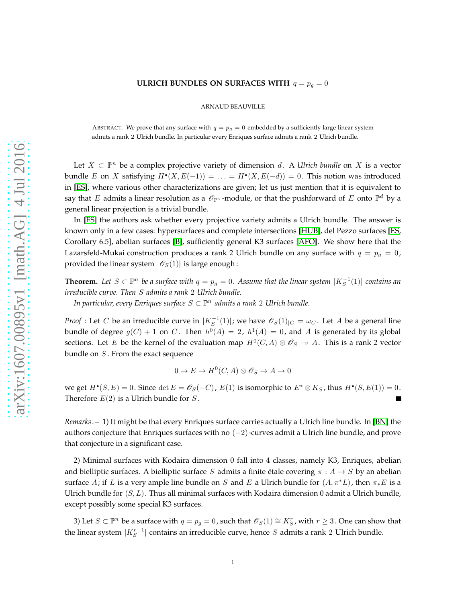## **ULRICH BUNDLES ON SURFACES WITH**  $q = p_q = 0$

ARNAUD BEAUVILLE

ABSTRACT. We prove that any surface with  $q = p_q = 0$  embedded by a sufficiently large linear system admits a rank 2 Ulrich bundle. In particular every Enriques surface admits a rank 2 Ulrich bundle.

Let  $X \subset \mathbb{P}^n$  be a complex projective variety of dimension d. A *Ulrich bundle* on X is a vector bundle E on X satisfying  $H^{\bullet}(X, E(-1)) = \ldots = H^{\bullet}(X, E(-d)) = 0$ . This notion was introduced in [\[ES\]](#page-1-0), where various other characterizations are given; let us just mention that it is equivalent to say that  $E$  admits a linear resolution as a  $\mathscr O_{\mathbb P^n}$ -module, or that the pushforward of  $E$  onto  $\mathbb P^d$  by a general linear projection is a trivial bundle.

In [\[ES\]](#page-1-0) the authors ask whether every projective variety admits a Ulrich bundle. The answer is known only in a few cases: hypersurfaces and complete intersections [\[HUB\]](#page-1-1), del Pezzo surfaces [\[ES,](#page-1-0) Corollary 6.5], abelian surfaces [\[B\]](#page-1-2), sufficiently general K3 surfaces [\[AFO\]](#page-1-3). We show here that the Lazarsfeld-Mukai construction produces a rank 2 Ulrich bundle on any surface with  $q = p_g = 0$ , provided the linear system  $|\mathscr{O}_S(1)|$  is large enough:

**Theorem.** Let  $S \subset \mathbb{P}^n$  be a surface with  $q = p_g = 0$ . Assume that the linear system  $|K_S^{-1}(1)|$  contains an *irreducible curve. Then* S *admits a rank* 2 *Ulrich bundle.*

*In particular, every Enriques surface* S ⊂ P <sup>n</sup> *admits a rank* 2 *Ulrich bundle.*

*Proof* : Let C be an irreducible curve in  $|K_S^{-1}(1)|$ ; we have  $\mathscr{O}_S(1)_{|C} = \omega_C$ . Let A be a general line bundle of degree  $g(C) + 1$  on C. Then  $h^0(A) = 2$ ,  $h^1(A) = 0$ , and A is generated by its global sections. Let E be the kernel of the evaluation map  $H^0(C, A) \otimes \mathcal{O}_S \rightarrow A$ . This is a rank 2 vector bundle on  $S$ . From the exact sequence

$$
0 \to E \to H^0(C, A) \otimes \mathcal{O}_S \to A \to 0
$$

we get  $H^{\bullet}(S, E) = 0$ . Since  $\det E = \mathscr{O}_S(-C)$ ,  $E(1)$  is isomorphic to  $E^* \otimes K_S$ , thus  $H^{\bullet}(S, E(1)) = 0$ . Therefore  $E(2)$  is a Ulrich bundle for  $S$ .

*Remarks*.− 1) It might be that every Enriques surface carries actually a Ulrich line bundle. In [\[BN\]](#page-1-4) the authors conjecture that Enriques surfaces with no  $(-2)$ -curves admit a Ulrich line bundle, and prove that conjecture in a significant case.

2) Minimal surfaces with Kodaira dimension 0 fall into 4 classes, namely K3, Enriques, abelian and bielliptic surfaces. A bielliptic surface S admits a finite étale covering  $\pi : A \rightarrow S$  by an abelian surface A; if L is a very ample line bundle on S and E a Ulrich bundle for  $(A, \pi^*L)$ , then  $\pi_*E$  is a Ulrich bundle for  $(S, L)$ . Thus all minimal surfaces with Kodaira dimension 0 admit a Ulrich bundle, except possibly some special K3 surfaces.

3) Let  $S \subset \mathbb{P}^n$  be a surface with  $q = p_g = 0$ , such that  $\mathscr{O}_S(1) \cong K_S^r$ , with  $r ≥ 3$ . One can show that the linear system  $|K_S^{r-1}|$  contains an irreducible curve, hence  $S$  admits a rank 2 Ulrich bundle.